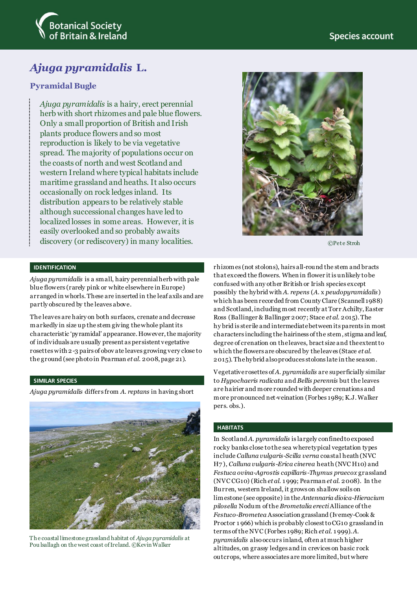



# *Ajuga pyramidalis* **L.**

# **Pyramidal Bugle**

*Ajuga pyramidalis* is a hairy, erect perennial herb with short rhizomes and pale blue flowers. Only a small proportion of British and Irish plants produce flowers and so most reproduction is likely to be via vegetative spread. The majority of populations occur on the coasts of north and west Scotland and western Ireland where typical habitats include maritime grassland and heaths. It also occurs occasionally on rock ledges inland. Its distribution appears to be relatively stable although successional changes have led to localized losses in some areas. However, it is easily overlooked and so probably awaits discovery (or rediscovery) in many localities.



©Pete Stroh

#### **IDENTIFICATION**

*Ajuga pyramidalis* is a small, hairy perennial herb with pale blue flowers (rarely pink or white elsewhere in Europe) arranged in whorls. These are inserted in the leaf axils and are partly obscured by the leaves above.

The leaves are hairy on both surfaces, crenate and decrease markedly in size up the stem giving the whole plantits characteristic 'pyramidal' appearance. However, the majority of individuals are usually present as persistent vegetative rosettes with 2-3 pairs of obov ate leaves growing very close to the ground (see photo in Pearman *et al*. 2008, page 21).

### **SIMILAR SPECIES**

*Ajuga pyramidalis* differs from *A. reptans* in having short



Th e coastal limestone grassland habitat of *Ajuga pyramidalis* at Pou lsallagh on the west coast of Ireland. ©Kevin Walker

rhizomes (not stolons), hairs all-round the stem and bracts that exceed the flowers. When in flower itis unlikely to be confused with any other British or Irish species except possibly the hybrid with *A. repens* (*A*. x *peudopyramidalis*) which has been recorded from County Clare (Scannell 1988) and Scotland, including most recently at Torr Achilty, Easter Ross (Ballinger & Ballinger 2007; Stace *et al*. 2015). The hy brid is sterile and intermediate between its parents in most characters including the hairiness of the stem, stigma and leaf, degree of crenation on the leaves, bract size and the extent to which the flowers are obscured by the leaves (Stace *et al*. 2015). The hybrid also produces stolons late in the season.

Vegetative rosettes of *A. pyramidalis* are superficially similar to *Hypochaeris radicata* and *Bellis perennis* but the leaves are hairier and more rounded with deeper crenations and more pronounced net-veination (Forbes 1989; K.J. Walker pers. obs.).

# **HABITATS**

In Scotland *A. pyramidalis* is largely confined to exposed rocky banks close to the sea wheretypical vegetation types include *Calluna vulgaris-Scilla verna* coastal heath (NVC H7 ), *Calluna vulgaris-Erica cinerea* heath (NVC H10) and *Festuca ovina-Agrostis capillaris-Thymus praecox* grassland (NVC CG10) (Rich *et al.* 1 999; Pearman *et al.* 2008). In the Burren, western Ireland, it grows on shallow soils on limestone (see opposite) in the *Antennaria dioica-Hieracium pilosella* Nodum of the *Brometalia erecti*Alliance of the *Festuco-Brometea* Association grassland (Ivemey-Cook & Proctor 1 966) which is probably closest to CG10 grassland in terms of the NVC (Forbes 1989; Rich *et al*. 1 999). *A. pyramidalis* also occurs inland, often at much higher altitudes, on grassy ledges and in crevices on basic rock outcrops, where associates are more limited, but where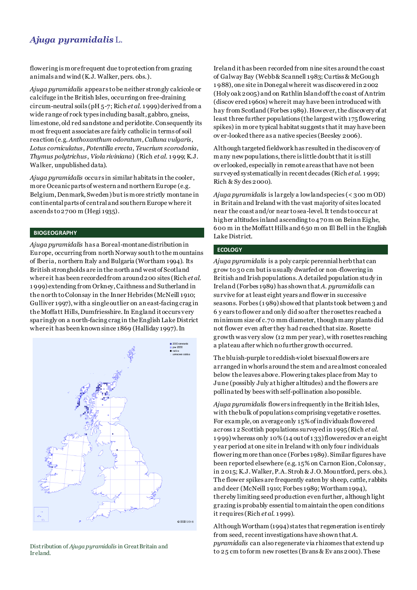# *Ajuga pyramidalis* L.

flowering is more frequent due to protection from grazing animals and wind (K.J. Walker, pers. obs.).

*Ajuga pyramidalis* appears to be neither strongly calcicole or calcifuge in the British Isles, occurring on free-draining circum-neutral soils (pH 5-7; Rich *et al*. 1 999) derived from a wide range of rock types including basalt, gabbro, gneiss, limestone, old red sandstone and peridotite. Consequently its most frequent associates are fairly catholic in terms of soil reaction (e.g. *Anthoxanthum odoratum*, *Calluna vulgaris*, *Lotus corniculatus*, *Potentilla erecta*, *Teucrium scorodonia*, *Thymus polytrichus*, *Viola riviniana*) (Rich *et al*. 1 999; K.J. Walker, unpublished data).

*Ajuga pyramidalis* occurs in similar habitats in the cooler, more Oceanic parts of western and northern Europe (e.g. Belgium, Denmark, Sweden) but is more strictly montane in continental parts of central and southern Europe where it ascends to 2700 m (Hegi 1935).

#### **BIOGEOGRAPHY**

*Ajuga pyramidalis* has a Boreal-montane distribution in Europe, occurring from north Norway south to the mountains of Iberia, northern Italy and Bulgaria (Wortham 1994). Its British strongholds are in the north and west of Scotland where it has been recorded from around 200 sites (Rich *et al*. 1 999) extending from Orkney, Caithness and Sutherland in the north to Colonsay in the Inner Hebrides (McNeill 1910; Gulliver 1997), with a single outlier on an east-facing crag in the Moffatt Hills,Dumfriesshire. In England it occurs very sparingly on a north-facing crag in the English Lake District where it has been known since 1869 (Halliday 1997). In



Distribution of *Ajuga pyramidalis* in Great Britain and Ir eland.

Ireland it has been recorded from nine sites around the coast of Galway Bay (Webb & Scannell 1983; Curtiss & McGough 1 988), one site in Donegal where it was discovered in 2002 (Holy oak 2005) and on Rathlin Island off the coast of Antrim (discov ered 1960s) where it may have been introduced with hay from Scotland (Forbes 1989). However, the discovery of at least three further populations (the largest with 175 flowering spikes) in more typical habitat suggests that it may have been ov er-looked there as a native species (Beesley 2006).

Although targeted fieldwork has resulted in the discovery of many new populations, there is little doubt that it is still ov erlooked, especially in remote areas that have not been surveyed systematically in recent decades (Rich *et al*. 1 999; Rich & Sy des 2000).

*Ajuga pyramidalis* is largely a lowland species (< 300 m OD) in Britain and Ireland with the vast majority of sites located near the coast and/or near to sea-level.It tends to occur at higher altitudes inland ascending to 470 m on Beinn Eighe, 600 m in the Moffatt Hills and 650 m on Ill Bell in the English Lake District.

#### **ECOLOGY**

*Ajuga pyramidalis* is a poly carpic perennial herbthat can grow to 30 cm but is usually dwarfed or non-flowering in British and Irish populations.A detailed population study in Ireland (Forbes 1989) has shown that*A. pyramidalis* can survive for at least eight years and flower in successive seasons. Forbes (1 989) showed that plants took between 3 and 6 y ears to flower and only did so after the rosettes reached a minimum size of c.70 mm diameter, though many plants did not flower even after they had reached that size. Rosette growth was very slow (12 mm per year), with rosettes reaching a plateau after which no further growth occurred.

The bluish-purple to reddish-violet bisexual flowers are arranged in whorls around the stem and are almost concealed below the leaves above. Flowering takes place from May to June (possibly July at higher altitudes) and the flowers are pollinated by bees with self-pollination also possible.

*Ajuga pyramidalis* flowers infrequently in the British Isles, with the bulk of populations comprising vegetative rosettes. For example, on average only 15%of individuals flowered across 1 2 Scottish populations surveyed in 1995 (Rich *et al*. 1 999)whereas only 10% (14 out of 1 33) flowered ov er an eight y ear period at one site in Ireland with only four individuals flowering more than once (Forbes 1989). Similar figures have been reported elsewhere (e.g. 15% on Carnon Eion, Colonsay, in 2015; K.J.Walker, P.A. Stroh & J.O. Mountford, pers. obs.). The flower spikes are frequently eaten by sheep, cattle, rabbits and deer (McNeill 1910; Forbes 1989; Wortham 1994), thereby limiting seed production even further, although light grazing is probably essential to maintain the open conditions it requires (Rich *et al*. 1 999).

Although Wortham (1994) states that regeneration is entirely from seed, recent investigations have shown that *A. pyramidalis* can also regenerate via rhizomes that extend up to 25 cm to form new rosettes (Evans & Ev ans 2001). These